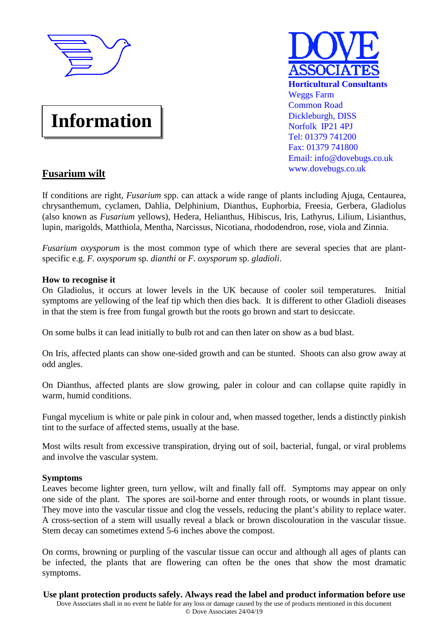

# **Information**



# **Fusarium wilt**

If conditions are right, *Fusarium* spp. can attack a wide range of plants including Ajuga, Centaurea, chrysanthemum, cyclamen, Dahlia, Delphinium, Dianthus, Euphorbia, Freesia, Gerbera, Gladiolus (also known as *Fusarium* yellows), Hedera, Helianthus, Hibiscus, Iris, Lathyrus, Lilium, Lisianthus, lupin, marigolds, Matthiola, Mentha, Narcissus, Nicotiana, rhododendron, rose, viola and Zinnia.

*Fusarium oxysporum* is the most common type of which there are several species that are plantspecific e.g. *F. oxysporum* sp. *dianthi* or *F. oxysporum* sp. *gladioli*.

## **How to recognise it**

On Gladiolus, it occurs at lower levels in the UK because of cooler soil temperatures. Initial symptoms are yellowing of the leaf tip which then dies back. It is different to other Gladioli diseases in that the stem is free from fungal growth but the roots go brown and start to desiccate.

On some bulbs it can lead initially to bulb rot and can then later on show as a bud blast.

On Iris, affected plants can show one-sided growth and can be stunted. Shoots can also grow away at odd angles.

On Dianthus, affected plants are slow growing, paler in colour and can collapse quite rapidly in warm, humid conditions.

Fungal mycelium is white or pale pink in colour and, when massed together, lends a distinctly pinkish tint to the surface of affected stems, usually at the base.

Most wilts result from excessive transpiration, drying out of soil, bacterial, fungal, or viral problems and involve the vascular system.

### **Symptoms**

Leaves become lighter green, turn yellow, wilt and finally fall off. Symptoms may appear on only one side of the plant. The spores are soil-borne and enter through roots, or wounds in plant tissue. They move into the vascular tissue and clog the vessels, reducing the plant's ability to replace water. A cross-section of a stem will usually reveal a black or brown discolouration in the vascular tissue. Stem decay can sometimes extend 5-6 inches above the compost.

On corms, browning or purpling of the vascular tissue can occur and although all ages of plants can be infected, the plants that are flowering can often be the ones that show the most dramatic symptoms.

**Use plant protection products safely. Always read the label and product information before use**  Dove Associates shall in no event be liable for any loss or damage caused by the use of products mentioned in this document © Dove Associates 24/04/19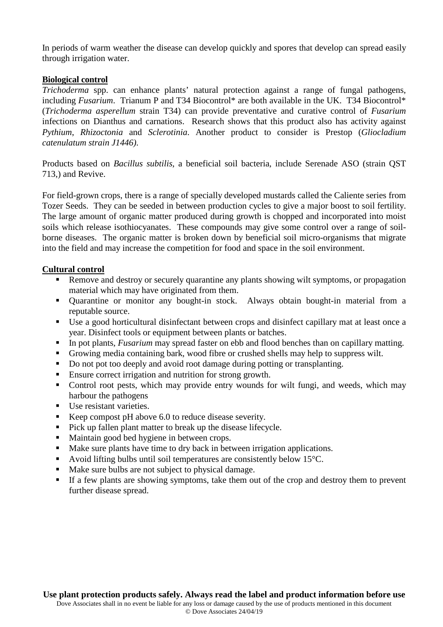In periods of warm weather the disease can develop quickly and spores that develop can spread easily through irrigation water.

#### **Biological control**

*Trichoderma* spp. can enhance plants' natural protection against a range of fungal pathogens, including *Fusarium*. Trianum P and T34 Biocontrol\* are both available in the UK. T34 Biocontrol\* (*Trichoderma asperellum* strain T34) can provide preventative and curative control of *Fusarium* infections on Dianthus and carnations. Research shows that this product also has activity against *Pythium*, *Rhizoctonia* and *Sclerotinia*. Another product to consider is Prestop (*Gliocladium catenulatum strain J1446)*.

Products based on *Bacillus subtilis*, a beneficial soil bacteria, include Serenade ASO (strain QST 713,) and Revive.

For field-grown crops, there is a range of specially developed mustards called the Caliente series from Tozer Seeds. They can be seeded in between production cycles to give a major boost to soil fertility. The large amount of organic matter produced during growth is chopped and incorporated into moist soils which release isothiocyanates. These compounds may give some control over a range of soilborne diseases. The organic matter is broken down by beneficial soil micro-organisms that migrate into the field and may increase the competition for food and space in the soil environment.

#### **Cultural control**

- Remove and destroy or securely quarantine any plants showing wilt symptoms, or propagation material which may have originated from them.
- Quarantine or monitor any bought-in stock. Always obtain bought-in material from a reputable source.
- Use a good horticultural disinfectant between crops and disinfect capillary mat at least once a year. Disinfect tools or equipment between plants or batches.
- In pot plants, *Fusarium* may spread faster on ebb and flood benches than on capillary matting.
- Growing media containing bark, wood fibre or crushed shells may help to suppress wilt.
- Do not pot too deeply and avoid root damage during potting or transplanting.
- Ensure correct irrigation and nutrition for strong growth.
- Control root pests, which may provide entry wounds for wilt fungi, and weeds, which may harbour the pathogens
- Use resistant varieties.
- Keep compost pH above 6.0 to reduce disease severity.
- **Pick up fallen plant matter to break up the disease lifecycle.**
- Maintain good bed hygiene in between crops.
- Make sure plants have time to dry back in between irrigation applications.
- Avoid lifting bulbs until soil temperatures are consistently below 15 °C.
- Make sure bulbs are not subject to physical damage.
- If a few plants are showing symptoms, take them out of the crop and destroy them to prevent further disease spread.